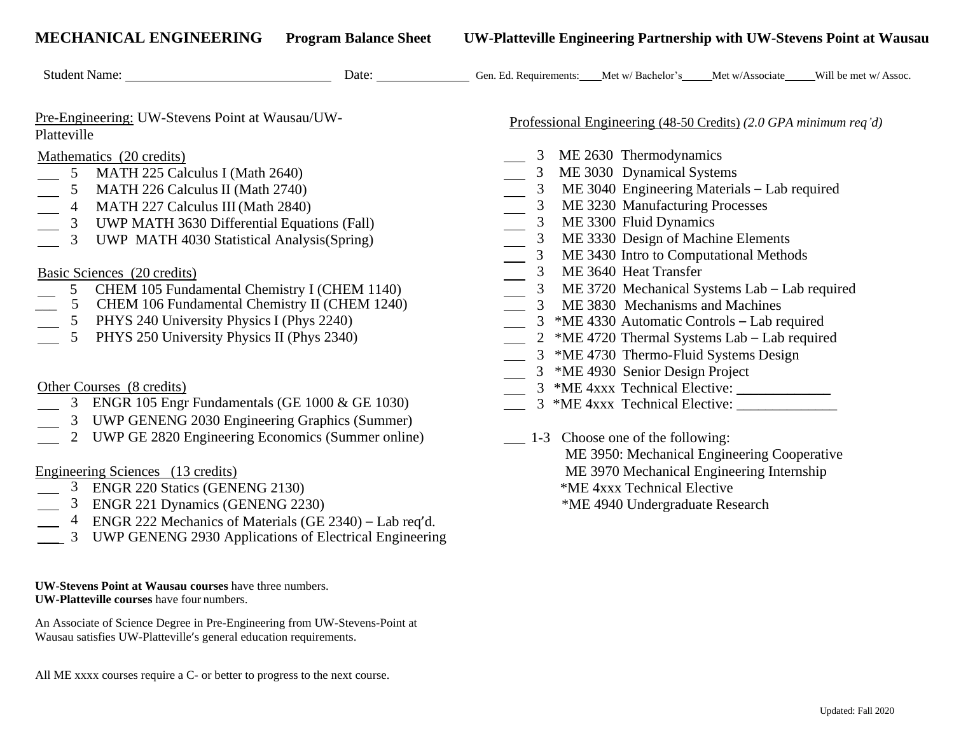| <b>MECHANICAL ENGINEERING</b><br><b>Program Balance Sheet</b>                                                                                                                                                                                                                                                                                                                         | UW-Platteville Engineering Partnership with UW-Stevens Point at Wausau                                                                                                                                                                                                                                                       |
|---------------------------------------------------------------------------------------------------------------------------------------------------------------------------------------------------------------------------------------------------------------------------------------------------------------------------------------------------------------------------------------|------------------------------------------------------------------------------------------------------------------------------------------------------------------------------------------------------------------------------------------------------------------------------------------------------------------------------|
| Pre-Engineering: UW-Stevens Point at Wausau/UW-<br>Platteville                                                                                                                                                                                                                                                                                                                        | Professional Engineering (48-50 Credits) (2.0 GPA minimum req'd)                                                                                                                                                                                                                                                             |
| Mathematics (20 credits)<br>5 MATH 225 Calculus I (Math 2640)<br>MATH 226 Calculus II (Math 2740)<br>$5\overline{)}$<br>4 MATH 227 Calculus III (Math 2840)<br>$\frac{1}{\sqrt{2\pi}}\int_{0}^{\pi}\frac{1}{\sqrt{2\pi}}\left( \frac{1}{\sqrt{2\pi}}\right) \frac{d\mu}{2}d\mu d\nu$<br>3 UWP MATH 3630 Differential Equations (Fall)<br>3 UWP MATH 4030 Statistical Analysis(Spring) | 3 ME 2630 Thermodynamics<br>3 ME 3030 Dynamical Systems<br>3 ME 3040 Engineering Materials – Lab required<br>3 ME 3230 Manufacturing Processes<br>3 ME 3300 Fluid Dynamics<br>3 ME 3330 Design of Machine Elements<br>$\overline{3}$ ME 3430 Intro to Computational Methods                                                  |
| Basic Sciences (20 credits)<br>5 CHEM 105 Fundamental Chemistry I (CHEM 1140)<br>5 CHEM 106 Fundamental Chemistry II (CHEM 1240)<br>5 PHYS 240 University Physics I (Phys 2240)<br>5 PHYS 250 University Physics II (Phys 2340)                                                                                                                                                       | 3 ME 3640 Heat Transfer<br>3 ME 3720 Mechanical Systems Lab – Lab required<br>3 ME 3830 Mechanisms and Machines<br>3 *ME 4330 Automatic Controls – Lab required<br>2 *ME 4720 Thermal Systems Lab – Lab required<br>3 *ME 4730 Thermo-Fluid Systems Design<br>$\mathcal{L}^{\text{max}}$<br>3 *ME 4930 Senior Design Project |
| Other Courses (8 credits)<br>3 ENGR 105 Engr Fundamentals (GE 1000 & GE 1030)<br>3 UWP GENENG 2030 Engineering Graphics (Summer)                                                                                                                                                                                                                                                      |                                                                                                                                                                                                                                                                                                                              |

2 UWP GE 2820 Engineering Economics (Summer online) 1-3 Choose one of the following:

- 3ENGR 220 Statics (GENENG 2130) \*ME 4xxx Technical Elective
- <sup>3</sup> ENGR 221 Dynamics (GENENG 2230) \* ME 4940 Undergraduate Research
- 4 ENGR 222 Mechanics of Materials (GE 2340) Lab req'd.
- 3 UWP GENENG 2930 Applications of Electrical Engineering

**UW-Stevens Point at Wausau courses** have three numbers. **UW-Platteville courses** have four numbers.

An Associate of Science Degree in Pre-Engineering from UW-Stevens-Point at Wausau satisfies UW-Platteville's general education requirements.

All ME xxxx courses require a C- or better to progress to the next course.

- Thermodynamics
- Dynamical Systems
- 6 Engineering Materials Lab required
- 0 Manufacturing Processes
- 0 Fluid Dynamics
- 3 Design of Machine Elements
- 3 Intro to Computational Methods
- **D** Heat Transfer
- 0 Mechanical Systems Lab Lab required
- \_\_\_ 5 CHEM 106 Fundamental Chemistry II (CHEM 1240) 3 ME 3830 Mechanisms and Machines
- 0 Automatic Controls Lab required
- 0 Thermal Systems Lab Lab required
- 3 Thermo-Fluid Systems Design
- 0 Senior Design Project
- 
- 3 ENGR 105 Engr Fundamentals (GE 1000 & GE 1030) 3 \*ME 4xxx Technical Elective: \_\_\_\_\_\_\_\_\_\_\_\_\_\_
- ME 3950: Mechanical Engineering Cooperative Engineering Sciences (13 credits) ME 3970 Mechanical Engineering Internship
	-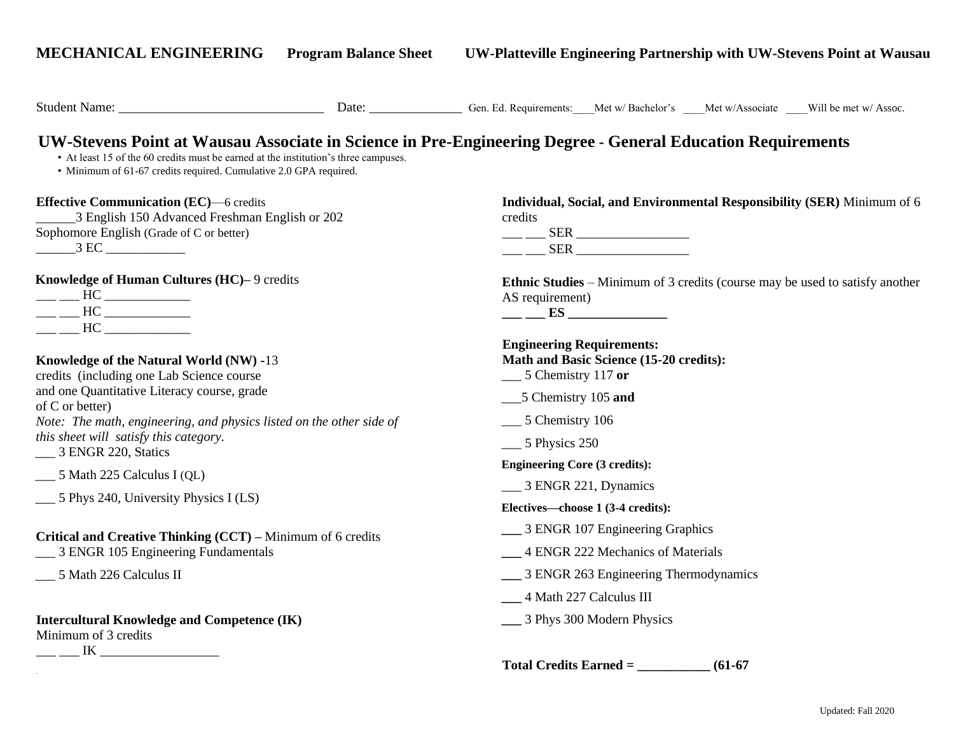**MECHANICAL ENGINEERING Program Balance Sheet UW-Platteville Engineering Partnership with UW-Stevens Point at Wausau Effective Communication (EC)**—6 credits \_\_\_\_\_\_3 English 150 Advanced Freshman English or 202 Sophomore English (Grade of C or better) \_\_\_\_\_\_3 EC \_\_\_\_\_\_\_\_\_\_\_\_ **Knowledge of Human Cultures (HC)–** 9 credits  $\frac{1}{\sqrt{1-\frac{1}{2}}}\text{HC}$ \_\_\_ \_\_\_ HC \_\_\_\_\_\_\_\_\_\_\_\_\_ \_\_\_ \_\_\_ HC \_\_\_\_\_\_\_\_\_\_\_\_\_ **Knowledge of the Natural World (NW) -**13 credits (including one Lab Science course and one Quantitative Literacy course, grade of C or better) *Note: The math, engineering, and physics listed on the other side of this sheet will satisfy this category.* \_\_\_ 3 ENGR 220, Statics \_\_\_ 5 Math 225 Calculus I (QL) \_\_\_ 5 Phys 240, University Physics I (LS) **Critical and Creative Thinking (CCT) –** Minimum of 6 credits \_\_\_ 3 ENGR 105 Engineering Fundamentals \_\_\_ 5 Math 226 Calculus II **Intercultural Knowledge and Competence (IK)**  Minimum of 3 credits \_\_\_ \_\_\_ IK \_\_\_\_\_\_\_\_\_\_\_\_\_\_\_\_\_\_ **Individual, Social, and Environmental Responsibility (SER)** Minimum of 6 credits  $\frac{\text{SER}}{\text{O}}$ \_\_\_ \_\_\_ SER \_\_\_\_\_\_\_\_\_\_\_\_\_\_\_\_\_ **Ethnic Studies** – Minimum of 3 credits (course may be used to satisfy another AS requirement) **\_\_\_ \_\_\_ ES \_\_\_\_\_\_\_\_\_\_\_\_\_\_\_ Engineering Requirements: Math and Basic Science (15-20 credits):**  \_\_\_ 5 Chemistry 117 **or** \_\_\_5 Chemistry 105 **and** \_\_\_ 5 Chemistry 106 \_\_\_ 5 Physics 250 **Engineering Core (3 credits):** \_\_ 3 ENGR 221, Dynamics **Electives—choose 1 (3-4 credits): \_\_\_** 3 ENGR 107 Engineering Graphics **\_\_\_** 4 ENGR 222 Mechanics of Materials **\_\_\_** 3 ENGR 263 Engineering Thermodynamics **\_\_\_** 4 Math 227 Calculus III **\_\_\_** 3 Phys 300 Modern Physics **Total Credits Earned = \_\_\_\_\_\_\_\_\_\_\_ (61-67**  Student Name: \_\_\_\_\_\_\_\_\_\_\_\_\_\_\_\_\_\_\_\_\_\_\_\_\_\_\_\_\_\_\_ Date: \_\_\_\_\_\_\_\_\_\_\_\_\_\_ Gen. Ed. Requirements:\_\_\_\_Met w/ Bachelor's \_\_\_\_Met w/Associate \_\_\_\_Will be met w/ Assoc. **UW-Stevens Point at Wausau Associate in Science in Pre-Engineering Degree - General Education Requirements**  • At least 15 of the 60 credits must be earned at the institution's three campuses. • Minimum of 61-67 credits required. Cumulative 2.0 GPA required.